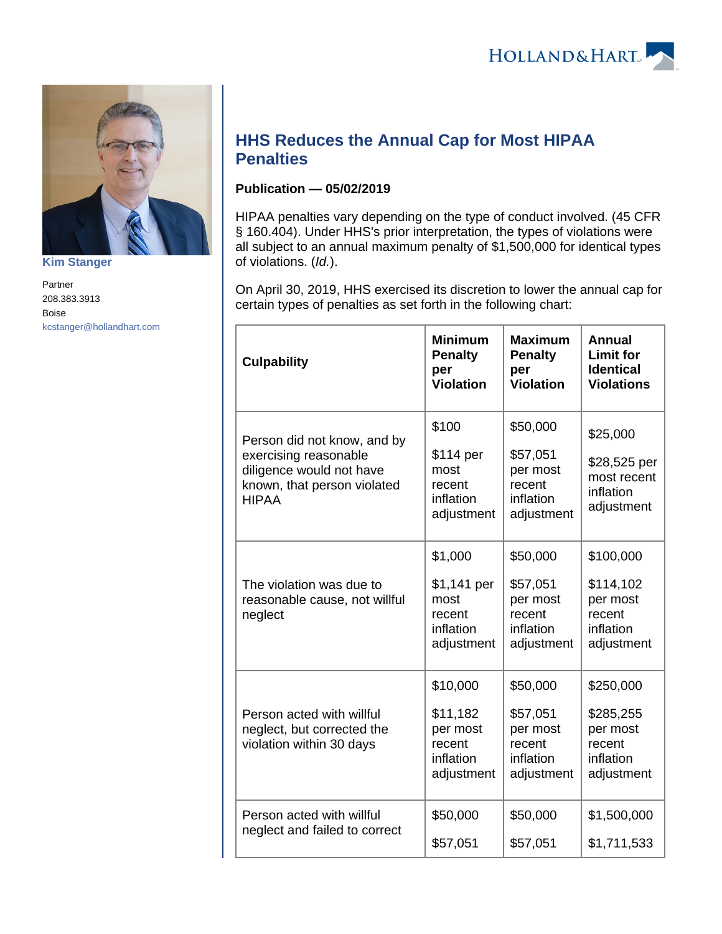

**[Kim Stanger](https://www.hollandhart.com/15954)**

Partner 208.383.3913 Boise [kcstanger@hollandhart.com](mailto:kcstanger@hollandhart.com)

## **HHS Reduces the Annual Cap for Most HIPAA Penalties**

## **Publication — 05/02/2019**

HIPAA penalties vary depending on the type of conduct involved. (45 CFR § 160.404). Under HHS's prior interpretation, the types of violations were all subject to an annual maximum penalty of \$1,500,000 for identical types of violations. (Id.).

On April 30, 2019, HHS exercised its discretion to lower the annual cap for certain types of penalties as set forth in the following chart:

| <b>Culpability</b>                                                                                                              | <b>Minimum</b><br><b>Penalty</b><br>per<br><b>Violation</b>           | <b>Maximum</b><br><b>Penalty</b><br>per<br><b>Violation</b>           | <b>Annual</b><br><b>Limit for</b><br><b>Identical</b><br><b>Violations</b> |
|---------------------------------------------------------------------------------------------------------------------------------|-----------------------------------------------------------------------|-----------------------------------------------------------------------|----------------------------------------------------------------------------|
| Person did not know, and by<br>exercising reasonable<br>diligence would not have<br>known, that person violated<br><b>HIPAA</b> | \$100<br>\$114 per<br>most<br>recent<br>inflation<br>adjustment       | \$50,000<br>\$57,051<br>per most<br>recent<br>inflation<br>adjustment | \$25,000<br>\$28,525 per<br>most recent<br>inflation<br>adjustment         |
| The violation was due to<br>reasonable cause, not willful<br>neglect                                                            | \$1,000<br>\$1,141 per<br>most<br>recent<br>inflation<br>adjustment   | \$50,000<br>\$57,051<br>per most<br>recent<br>inflation<br>adjustment | \$100,000<br>\$114,102<br>per most<br>recent<br>inflation<br>adjustment    |
| Person acted with willful<br>neglect, but corrected the<br>violation within 30 days                                             | \$10,000<br>\$11,182<br>per most<br>recent<br>inflation<br>adjustment | \$50,000<br>\$57,051<br>per most<br>recent<br>inflation<br>adjustment | \$250,000<br>\$285,255<br>per most<br>recent<br>inflation<br>adjustment    |
| Person acted with willful<br>neglect and failed to correct                                                                      | \$50,000<br>\$57,051                                                  | \$50,000<br>\$57,051                                                  | \$1,500,000<br>\$1,711,533                                                 |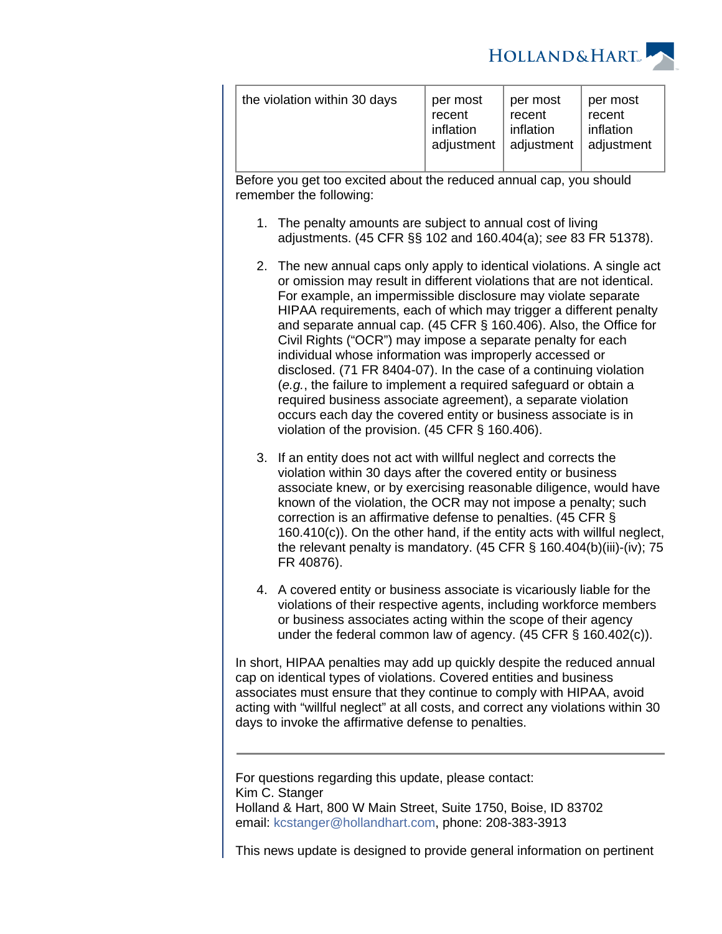

| recent<br>recent<br>recent<br>inflation<br>inflation<br>inflation<br>adjustment   adjustment<br>adjustment $ $ |
|----------------------------------------------------------------------------------------------------------------|
|----------------------------------------------------------------------------------------------------------------|

Before you get too excited about the reduced annual cap, you should remember the following:

- 1. The penalty amounts are subject to annual cost of living adjustments. (45 CFR §§ 102 and 160.404(a); see 83 FR 51378).
- 2. The new annual caps only apply to identical violations. A single act or omission may result in different violations that are not identical. For example, an impermissible disclosure may violate separate HIPAA requirements, each of which may trigger a different penalty and separate annual cap. (45 CFR § 160.406). Also, the Office for Civil Rights ("OCR") may impose a separate penalty for each individual whose information was improperly accessed or disclosed. (71 FR 8404-07). In the case of a continuing violation (e.g., the failure to implement a required safeguard or obtain a required business associate agreement), a separate violation occurs each day the covered entity or business associate is in violation of the provision. (45 CFR § 160.406).
- 3. If an entity does not act with willful neglect and corrects the violation within 30 days after the covered entity or business associate knew, or by exercising reasonable diligence, would have known of the violation, the OCR may not impose a penalty; such correction is an affirmative defense to penalties. (45 CFR § 160.410(c)). On the other hand, if the entity acts with willful neglect, the relevant penalty is mandatory. (45 CFR § 160.404(b)(iii)-(iv); 75 FR 40876).
- 4. A covered entity or business associate is vicariously liable for the violations of their respective agents, including workforce members or business associates acting within the scope of their agency under the federal common law of agency. (45 CFR § 160.402(c)).

In short, HIPAA penalties may add up quickly despite the reduced annual cap on identical types of violations. Covered entities and business associates must ensure that they continue to comply with HIPAA, avoid acting with "willful neglect" at all costs, and correct any violations within 30 days to invoke the affirmative defense to penalties.

For questions regarding this update, please contact: Kim C. Stanger Holland & Hart, 800 W Main Street, Suite 1750, Boise, ID 83702 email: [kcstanger@hollandhart.com](mailto:kcstanger@hollandhart.com), phone: 208-383-3913

This news update is designed to provide general information on pertinent